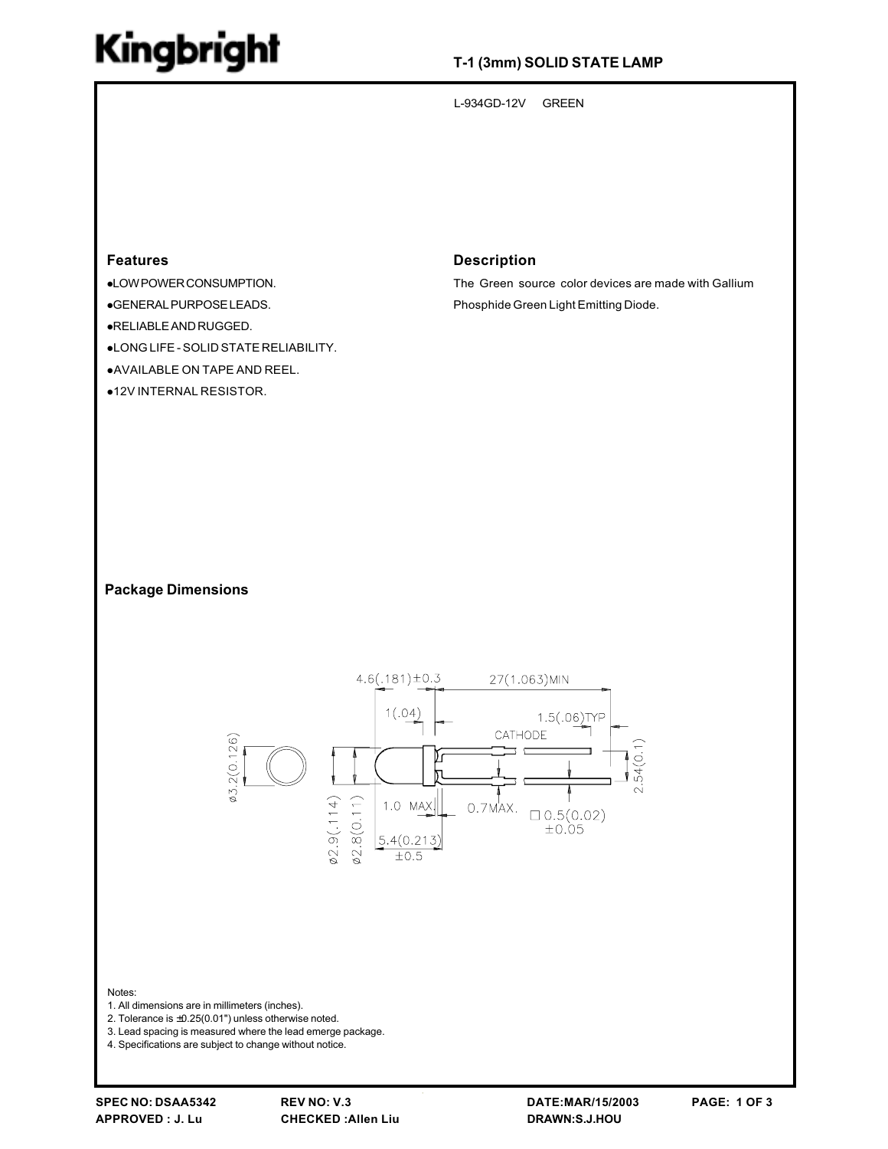# Kingbright

## T-1 (3mm) SOLID STATE LAMP

L-934GD-12V **GREEN** 

#### **Features**

- ·LOWPOWERCONSUMPTION.
- ·GENERAL PURPOSE LEADS.
- ·RELIABLE AND RUGGED.
- •LONG LIFE SOLID STATE RELIABILITY.
- .AVAILABLE ON TAPE AND REEL.
- ●12V INTERNAL RESISTOR.

#### **Description**

The Green source color devices are made with Gallium Phosphide Green Light Emitting Diode.

#### **Package Dimensions**



Notes:

- 1. All dimensions are in millimeters (inches).
- 2. Tolerance is  $\pm 0.25(0.01")$  unless otherwise noted.
- 3. Lead spacing is measured where the lead emerge package.

4. Specifications are subject to change without notice.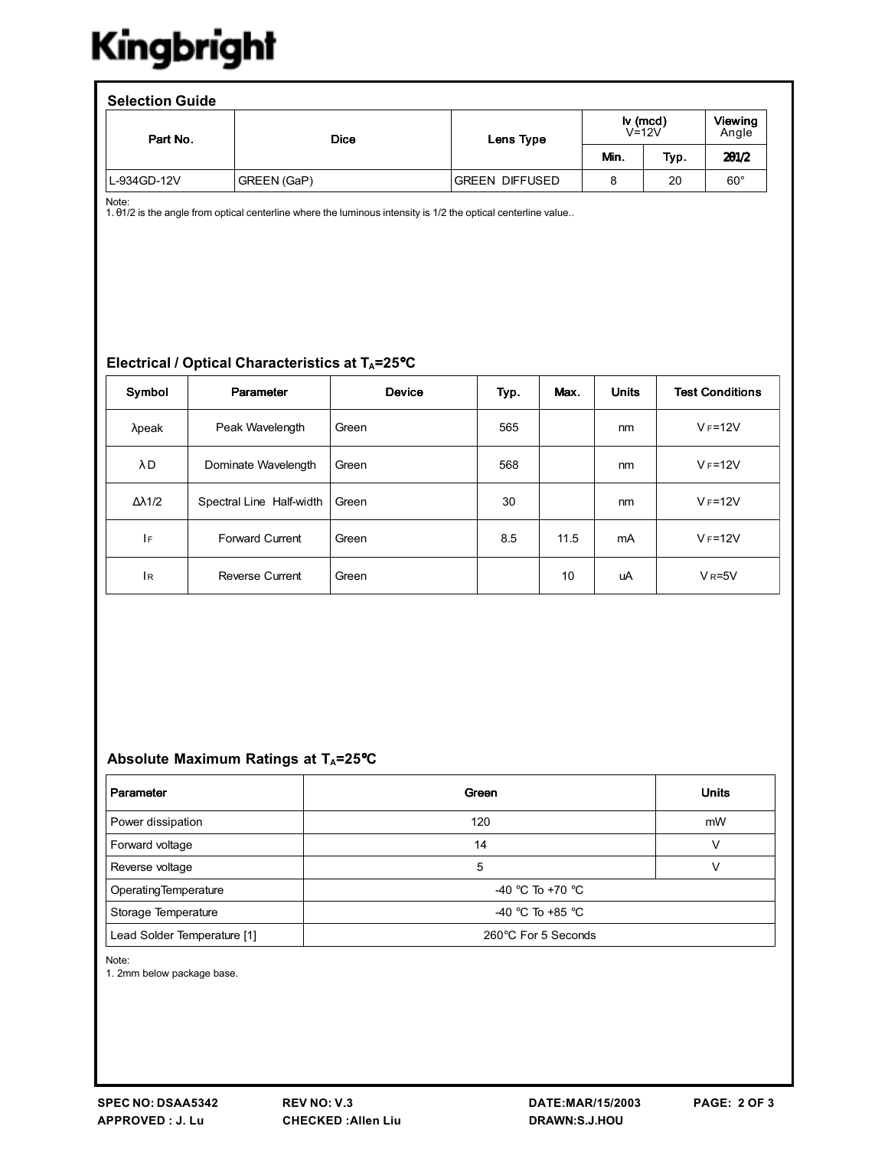# Kingbright

| <b>Dice</b> | <b>lv</b> (mcd)<br>$V=12V$ |           |      | <b>Viewing</b><br>Angle |
|-------------|----------------------------|-----------|------|-------------------------|
|             |                            | Min.      | Typ. | 201/2                   |
| GREEN (GaP) | <b>GREEN DIFFUSED</b>      | 8         | 20   | $60^{\circ}$            |
|             |                            | Lens Type |      |                         |

Note:<br>1. 01/2 is the angle from optical centerline where the luminous intensity is 1/2 the optical centerline value..

### Electrical / Optical Characteristics at TA=25°C

| Symbol               | Parameter                | Device | Typ. | Max. | <b>Units</b> | <b>Test Conditions</b>  |
|----------------------|--------------------------|--------|------|------|--------------|-------------------------|
| $λ$ peak             | Peak Wavelength          | Green  | 565  |      | nm           | $V_F = 12V$             |
| λD                   | Dominate Wavelength      | Green  | 568  |      | nm           | $V_F = 12V$             |
| $\Delta \lambda$ 1/2 | Spectral Line Half-width | Green  | 30   |      | nm           | $V_F = 12V$             |
| IF                   | <b>Forward Current</b>   | Green  | 8.5  | 11.5 | mA           | $VF=12V$                |
| 1 <sub>R</sub>       | <b>Reverse Current</b>   | Green  |      | 10   | uA           | $V$ <sub>R</sub> =5 $V$ |

## Absolute Maximum Ratings at TA=25°C

| Parameter                   | Green               | <b>Units</b> |  |  |
|-----------------------------|---------------------|--------------|--|--|
| Power dissipation           | 120                 | mW           |  |  |
| Forward voltage             | 14                  | v            |  |  |
| Reverse voltage             | 5                   | v            |  |  |
| Operating Temperature       | $-40$ °C To +70 °C  |              |  |  |
| Storage Temperature         | $-40$ °C To +85 °C  |              |  |  |
| Lead Solder Temperature [1] | 260°C For 5 Seconds |              |  |  |

Note:

1. 2mm below package base.